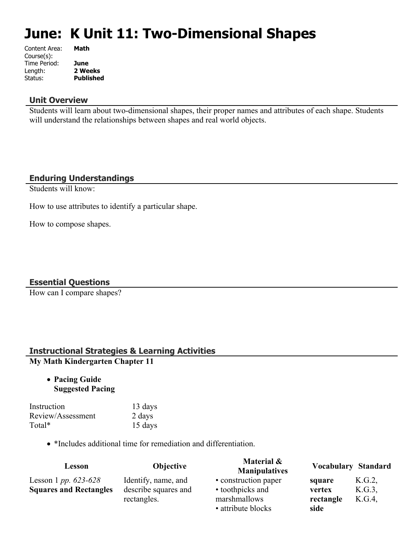# **June: K Unit 11: Two-Dimensional Shapes**

| Content Area: | Math             |
|---------------|------------------|
| Course(s):    |                  |
| Time Period:  | June             |
| Length:       | 2 Weeks          |
| Status:       | <b>Published</b> |
|               |                  |

## **Unit Overview**

Students will learn about two-dimensional shapes, their proper names and attributes of each shape. Students will understand the relationships between shapes and real world objects.

# **Enduring Understandings**

Students will know:

How to use attributes to identify a particular shape.

How to compose shapes.

# **Essential Questions**

How can I compare shapes?

# **Instructional Strategies & Learning Activities My Math Kindergarten Chapter 11**

 **Pacing Guide Suggested Pacing**

| Instruction       | 13 days |
|-------------------|---------|
| Review/Assessment | 2 days  |
| Total*            | 15 days |

\*Includes additional time for remediation and differentiation.

| Lesson                                                         | <b>Objective</b>                                           | Material &<br><b>Manipulatives</b>                                             |                                       | <b>Vocabulary Standard</b> |
|----------------------------------------------------------------|------------------------------------------------------------|--------------------------------------------------------------------------------|---------------------------------------|----------------------------|
| Lesson 1 <i>pp.</i> $623-628$<br><b>Squares and Rectangles</b> | Identify, name, and<br>describe squares and<br>rectangles. | • construction paper<br>• toothpicks and<br>marshmallows<br>• attribute blocks | square<br>vertex<br>rectangle<br>side | K.G.2<br>K.G.3<br>K.G.4    |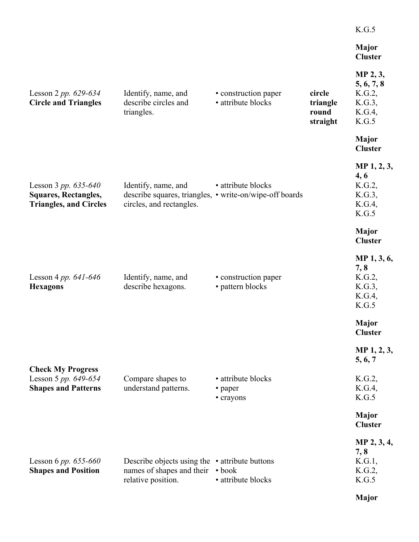|                                                                                        |                                                                                                            |                                            |                                         | K.G.5                                                         |
|----------------------------------------------------------------------------------------|------------------------------------------------------------------------------------------------------------|--------------------------------------------|-----------------------------------------|---------------------------------------------------------------|
|                                                                                        |                                                                                                            |                                            |                                         | <b>Major</b><br><b>Cluster</b>                                |
| Lesson 2 pp. $629-634$<br><b>Circle and Triangles</b>                                  | Identify, name, and<br>describe circles and<br>triangles.                                                  | • construction paper<br>· attribute blocks | circle<br>triangle<br>round<br>straight | MP 2, 3,<br>5, 6, 7, 8<br>K.G.2,<br>K.G.3,<br>K.G.4,<br>K.G.5 |
|                                                                                        |                                                                                                            |                                            |                                         | <b>Major</b><br><b>Cluster</b>                                |
| Lesson 3 pp. $635-640$<br><b>Squares, Rectangles,</b><br><b>Triangles, and Circles</b> | Identify, name, and<br>describe squares, triangles, • write-on/wipe-off boards<br>circles, and rectangles. | • attribute blocks                         |                                         | MP 1, 2, 3,<br>4, 6<br>K.G.2,<br>K.G.3,<br>K.G.4,<br>K.G.5    |
|                                                                                        |                                                                                                            |                                            |                                         | <b>Major</b><br><b>Cluster</b>                                |
| Lesson 4 pp. $641-646$<br><b>Hexagons</b>                                              | Identify, name, and<br>describe hexagons.                                                                  | • construction paper<br>• pattern blocks   |                                         | MP 1, 3, 6,<br>7,8<br>K.G.2,<br>K.G.3,<br>K.G.4,<br>K.G.5     |
|                                                                                        |                                                                                                            |                                            |                                         | <b>Major</b><br><b>Cluster</b>                                |
| <b>Check My Progress</b>                                                               |                                                                                                            |                                            |                                         | MP 1, 2, 3,<br>5, 6, 7                                        |
| Lesson 5 pp. 649-654<br><b>Shapes and Patterns</b>                                     | Compare shapes to<br>understand patterns.                                                                  | • attribute blocks<br>• paper<br>• crayons |                                         | K.G.2,<br>K.G.4,<br>K.G.5                                     |
|                                                                                        |                                                                                                            |                                            |                                         | <b>Major</b><br><b>Cluster</b>                                |
| Lesson 6 pp. $655-660$<br><b>Shapes and Position</b>                                   | Describe objects using the $\cdot$ attribute buttons<br>names of shapes and their<br>relative position.    | $\bullet$ book<br>· attribute blocks       |                                         | MP 2, 3, 4,<br>7,8<br>K.G.1,<br>K.G.2,<br>K.G.5               |
|                                                                                        |                                                                                                            |                                            |                                         | <b>Major</b>                                                  |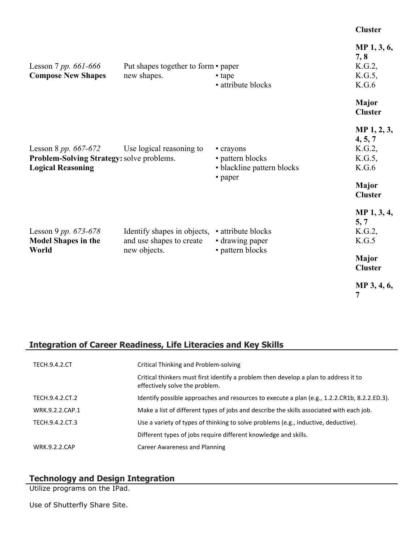#### **Cluster**

| Lesson 7 pp. 661-666                                                                          | Put shapes together to form • paper                     |                                                                        | MP 1, 3, 6,<br>7, 8<br>K.G.2,                                                     |
|-----------------------------------------------------------------------------------------------|---------------------------------------------------------|------------------------------------------------------------------------|-----------------------------------------------------------------------------------|
| <b>Compose New Shapes</b>                                                                     | new shapes.                                             | • tape<br>• attribute blocks                                           | K.G.5,<br>K.G.6                                                                   |
|                                                                                               |                                                         |                                                                        | Major<br><b>Cluster</b>                                                           |
| Lesson 8 pp. 667-672<br>Problem-Solving Strategy: solve problems.<br><b>Logical Reasoning</b> | Use logical reasoning to                                | • crayons<br>• pattern blocks<br>• blackline pattern blocks<br>• paper | MP 1, 2, 3,<br>4, 5, 7<br>K.G.2,<br>$K.G.5$ ,<br>K.G.6<br>Major<br><b>Cluster</b> |
| Lesson 9 pp. $673-678$<br><b>Model Shapes in the</b>                                          | Identify shapes in objects,<br>and use shapes to create | • attribute blocks<br>• drawing paper                                  | MP 1, 3, 4,<br>5, 7<br>K.G.2,<br>K.G.5                                            |
| World                                                                                         | new objects.                                            | • pattern blocks                                                       | <b>Major</b><br><b>Cluster</b>                                                    |
|                                                                                               |                                                         |                                                                        | MP 3, 4, 6,<br>7                                                                  |

# **Integration of Career Readiness, Life Literacies and Key Skills**

| <b>TECH.9.4.2.CT</b> | Critical Thinking and Problem-solving                                                                                  |
|----------------------|------------------------------------------------------------------------------------------------------------------------|
|                      | Critical thinkers must first identify a problem then develop a plan to address it to<br>effectively solve the problem. |
| TECH.9.4.2.CT.2      | Identify possible approaches and resources to execute a plan (e.g., 1.2.2.CR1b, 8.2.2.ED.3).                           |
| WRK.9.2.2.CAP.1      | Make a list of different types of jobs and describe the skills associated with each job.                               |
| TECH.9.4.2.CT.3      | Use a variety of types of thinking to solve problems (e.g., inductive, deductive).                                     |
|                      | Different types of jobs require different knowledge and skills.                                                        |
| <b>WRK.9.2.2.CAP</b> | <b>Career Awareness and Planning</b>                                                                                   |

#### **Technology and Design Integration**

Utilize programs on the IPad.

Use of Shutterfly Share Site.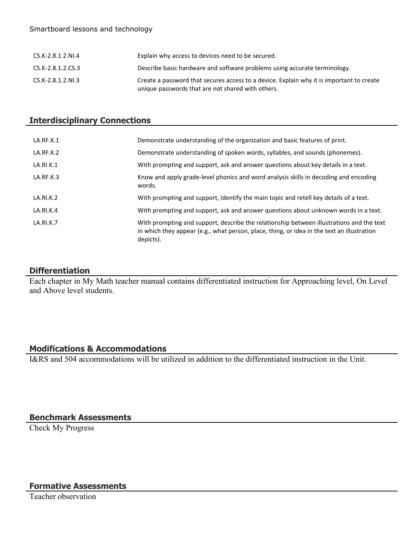#### Smartboard lessons and technology

| CS.K-2.8.1.2.NI.4 | Explain why access to devices need to be secured.                                                                                             |
|-------------------|-----------------------------------------------------------------------------------------------------------------------------------------------|
| CS.K-2.8.1.2.CS.3 | Describe basic hardware and software problems using accurate terminology.                                                                     |
| CS.K-2.8.1.2.NI.3 | Create a password that secures access to a device. Explain why it is important to create<br>unique passwords that are not shared with others. |

# **Interdisciplinary Connections**

| LA.RF.K.1 | Demonstrate understanding of the organization and basic features of print.                                                                                                                          |
|-----------|-----------------------------------------------------------------------------------------------------------------------------------------------------------------------------------------------------|
| LA.RF.K.2 | Demonstrate understanding of spoken words, syllables, and sounds (phonemes).                                                                                                                        |
| LA.RI.K.1 | With prompting and support, ask and answer questions about key details in a text.                                                                                                                   |
| LA.RF.K.3 | Know and apply grade-level phonics and word analysis skills in decoding and encoding<br>words.                                                                                                      |
| LA.RI.K.2 | With prompting and support, identify the main topic and retell key details of a text.                                                                                                               |
| LA.RI.K.4 | With prompting and support, ask and answer questions about unknown words in a text.                                                                                                                 |
| LA.RI.K.7 | With prompting and support, describe the relationship between illustrations and the text<br>in which they appear (e.g., what person, place, thing, or idea in the text an illustration<br>depicts). |

## **Differentiation**

Each chapter in My Math teacher manual contains differentiated instruction for Approaching level, On Level and Above level students.

# **Modifications & Accommodations**

I&RS and 504 accommodations will be utilized in addition to the differentiated instruction in the Unit.

# **Benchmark Assessments**

Check My Progress

## **Formative Assessments**

Teacher observation